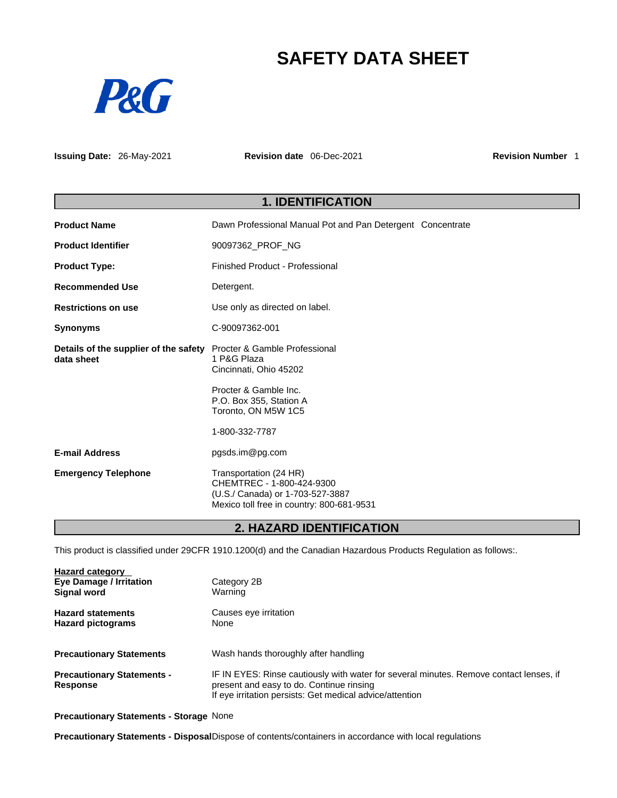# **SAFETY DATA SHEET**



**Issuing Date:** 26-May-2021 **Revision date** 06-Dec-2021 **Revision Number** 1

| <b>1. IDENTIFICATION</b>                            |                                                                                                                                      |  |  |
|-----------------------------------------------------|--------------------------------------------------------------------------------------------------------------------------------------|--|--|
| <b>Product Name</b>                                 | Dawn Professional Manual Pot and Pan Detergent Concentrate                                                                           |  |  |
| <b>Product Identifier</b>                           | 90097362 PROF NG                                                                                                                     |  |  |
| <b>Product Type:</b>                                | Finished Product - Professional                                                                                                      |  |  |
| <b>Recommended Use</b>                              | Detergent.                                                                                                                           |  |  |
| <b>Restrictions on use</b>                          | Use only as directed on label.                                                                                                       |  |  |
| <b>Synonyms</b>                                     | C-90097362-001                                                                                                                       |  |  |
| Details of the supplier of the safety<br>data sheet | Procter & Gamble Professional<br>1 P&G Plaza<br>Cincinnati, Ohio 45202                                                               |  |  |
|                                                     | Procter & Gamble Inc.<br>P.O. Box 355, Station A<br>Toronto, ON M5W 1C5                                                              |  |  |
|                                                     | 1-800-332-7787                                                                                                                       |  |  |
| <b>E-mail Address</b>                               | pgsds.im@pg.com                                                                                                                      |  |  |
| <b>Emergency Telephone</b>                          | Transportation (24 HR)<br>CHEMTREC - 1-800-424-9300<br>(U.S./ Canada) or 1-703-527-3887<br>Mexico toll free in country: 800-681-9531 |  |  |

# **2. HAZARD IDENTIFICATION**

This product is classified under 29CFR 1910.1200(d) and the Canadian Hazardous Products Regulation as follows:.

| <b>Hazard category</b><br><b>Eye Damage / Irritation</b><br><b>Signal word</b> | Category 2B<br>Warning                                                                                                                                                                         |
|--------------------------------------------------------------------------------|------------------------------------------------------------------------------------------------------------------------------------------------------------------------------------------------|
| <b>Hazard statements</b><br><b>Hazard pictograms</b>                           | Causes eye irritation<br>None                                                                                                                                                                  |
| <b>Precautionary Statements</b>                                                | Wash hands thoroughly after handling                                                                                                                                                           |
| <b>Precautionary Statements -</b><br><b>Response</b>                           | IF IN EYES: Rinse cautiously with water for several minutes. Remove contact lenses, if<br>present and easy to do. Continue rinsing<br>If eye irritation persists: Get medical advice/attention |

**Precautionary Statements - Storage** None

**Precautionary Statements - Disposal**Dispose of contents/containers in accordance with local regulations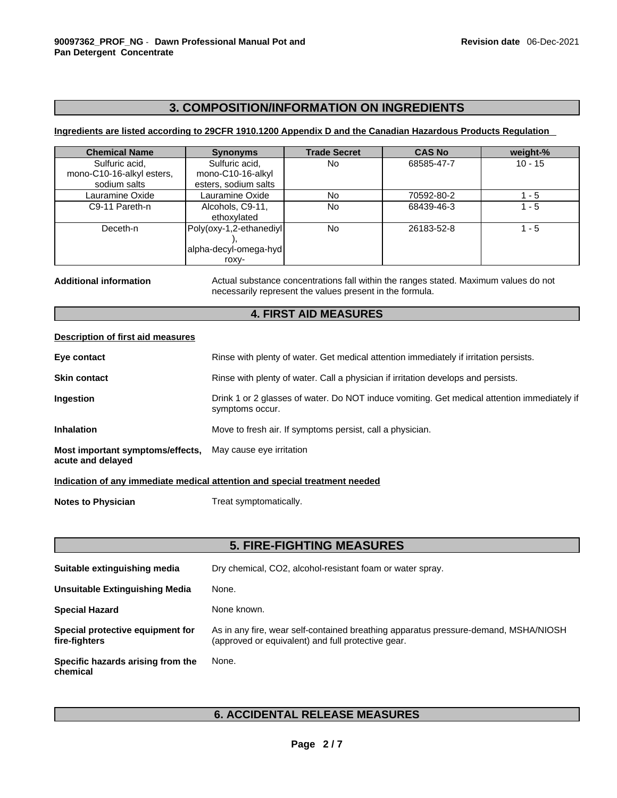# **3. COMPOSITION/INFORMATION ON INGREDIENTS**

# **Ingredients are listed according to 29CFR 1910.1200 Appendix D and the Canadian Hazardous Products Regulation**

| <b>Chemical Name</b>      | <b>Synonyms</b>         | <b>Trade Secret</b> | <b>CAS No</b> | weight-%  |
|---------------------------|-------------------------|---------------------|---------------|-----------|
| Sulfuric acid,            | Sulfuric acid,          | No.                 | 68585-47-7    | $10 - 15$ |
| mono-C10-16-alkyl esters, | mono-C10-16-alkyl       |                     |               |           |
| sodium salts              | esters, sodium salts    |                     |               |           |
| Lauramine Oxide           | Lauramine Oxide         | No.                 | 70592-80-2    | $1 - 5$   |
| C9-11 Pareth-n            | Alcohols, C9-11,        | No.                 | 68439-46-3    | $1 - 5$   |
|                           | ethoxylated             |                     |               |           |
| Deceth-n                  | Poly(oxy-1,2-ethanediyl | No.                 | 26183-52-8    | $1 - 5$   |
|                           |                         |                     |               |           |
|                           | alpha-decyl-omega-hyd   |                     |               |           |
|                           | roxy-                   |                     |               |           |

**Additional information** Actual substance concentrations fall within the ranges stated. Maximum values do not necessarily represent the values present in the formula.

### **4. FIRST AID MEASURES**

#### **Description of first aid measures**

| Eye contact                                           | Rinse with plenty of water. Get medical attention immediately if irritation persists.                          |
|-------------------------------------------------------|----------------------------------------------------------------------------------------------------------------|
| <b>Skin contact</b>                                   | Rinse with plenty of water. Call a physician if irritation develops and persists.                              |
| <b>Ingestion</b>                                      | Drink 1 or 2 glasses of water. Do NOT induce vomiting. Get medical attention immediately if<br>symptoms occur. |
| <b>Inhalation</b>                                     | Move to fresh air. If symptoms persist, call a physician.                                                      |
| Most important symptoms/effects,<br>acute and delayed | May cause eye irritation                                                                                       |

#### **Indication of any immediate medical attention and special treatment needed**

**Notes to Physician** Treat symptomatically.

# **5. FIRE-FIGHTING MEASURES**

| Suitable extinguishing media                      | Dry chemical, CO2, alcohol-resistant foam or water spray.                                                                                 |
|---------------------------------------------------|-------------------------------------------------------------------------------------------------------------------------------------------|
| Unsuitable Extinguishing Media                    | None.                                                                                                                                     |
| <b>Special Hazard</b>                             | None known.                                                                                                                               |
| Special protective equipment for<br>fire-fighters | As in any fire, wear self-contained breathing apparatus pressure-demand, MSHA/NIOSH<br>(approved or equivalent) and full protective gear. |
| Specific hazards arising from the<br>chemical     | None.                                                                                                                                     |

# **6. ACCIDENTAL RELEASE MEASURES**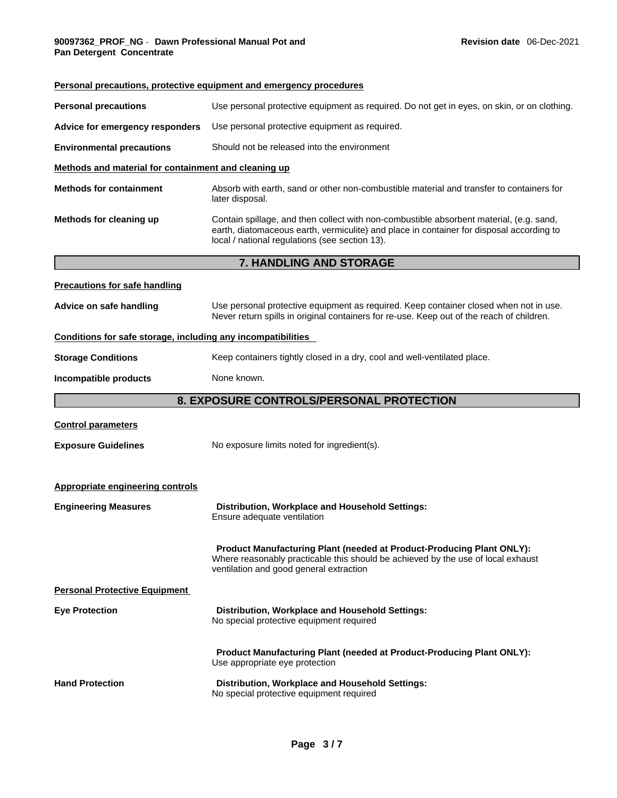|                                                                        | Personal precautions, protective equipment and emergency procedures                                                                                                                                                                   |  |  |
|------------------------------------------------------------------------|---------------------------------------------------------------------------------------------------------------------------------------------------------------------------------------------------------------------------------------|--|--|
| <b>Personal precautions</b>                                            | Use personal protective equipment as required. Do not get in eyes, on skin, or on clothing.                                                                                                                                           |  |  |
| Advice for emergency responders                                        | Use personal protective equipment as required.                                                                                                                                                                                        |  |  |
| <b>Environmental precautions</b>                                       | Should not be released into the environment                                                                                                                                                                                           |  |  |
| Methods and material for containment and cleaning up                   |                                                                                                                                                                                                                                       |  |  |
| <b>Methods for containment</b>                                         | Absorb with earth, sand or other non-combustible material and transfer to containers for<br>later disposal.                                                                                                                           |  |  |
| Methods for cleaning up                                                | Contain spillage, and then collect with non-combustible absorbent material, (e.g. sand,<br>earth, diatomaceous earth, vermiculite) and place in container for disposal according to<br>local / national regulations (see section 13). |  |  |
|                                                                        | <b>7. HANDLING AND STORAGE</b>                                                                                                                                                                                                        |  |  |
| <b>Precautions for safe handling</b>                                   |                                                                                                                                                                                                                                       |  |  |
| Advice on safe handling                                                | Use personal protective equipment as required. Keep container closed when not in use.<br>Never return spills in original containers for re-use. Keep out of the reach of children.                                                    |  |  |
| Conditions for safe storage, including any incompatibilities           |                                                                                                                                                                                                                                       |  |  |
| <b>Storage Conditions</b>                                              | Keep containers tightly closed in a dry, cool and well-ventilated place.                                                                                                                                                              |  |  |
| Incompatible products                                                  | None known.                                                                                                                                                                                                                           |  |  |
|                                                                        |                                                                                                                                                                                                                                       |  |  |
|                                                                        | 8. EXPOSURE CONTROLS/PERSONAL PROTECTION                                                                                                                                                                                              |  |  |
| <b>Control parameters</b>                                              |                                                                                                                                                                                                                                       |  |  |
| <b>Exposure Guidelines</b>                                             | No exposure limits noted for ingredient(s).                                                                                                                                                                                           |  |  |
|                                                                        |                                                                                                                                                                                                                                       |  |  |
| <b>Appropriate engineering controls</b><br><b>Engineering Measures</b> | Distribution, Workplace and Household Settings:<br>Ensure adequate ventilation                                                                                                                                                        |  |  |
|                                                                        | Product Manufacturing Plant (needed at Product-Producing Plant ONLY):<br>Where reasonably practicable this should be achieved by the use of local exhaust<br>ventilation and good general extraction                                  |  |  |
| <b>Personal Protective Equipment</b>                                   |                                                                                                                                                                                                                                       |  |  |
| <b>Eye Protection</b>                                                  | Distribution, Workplace and Household Settings:<br>No special protective equipment required                                                                                                                                           |  |  |
|                                                                        | Product Manufacturing Plant (needed at Product-Producing Plant ONLY):<br>Use appropriate eye protection                                                                                                                               |  |  |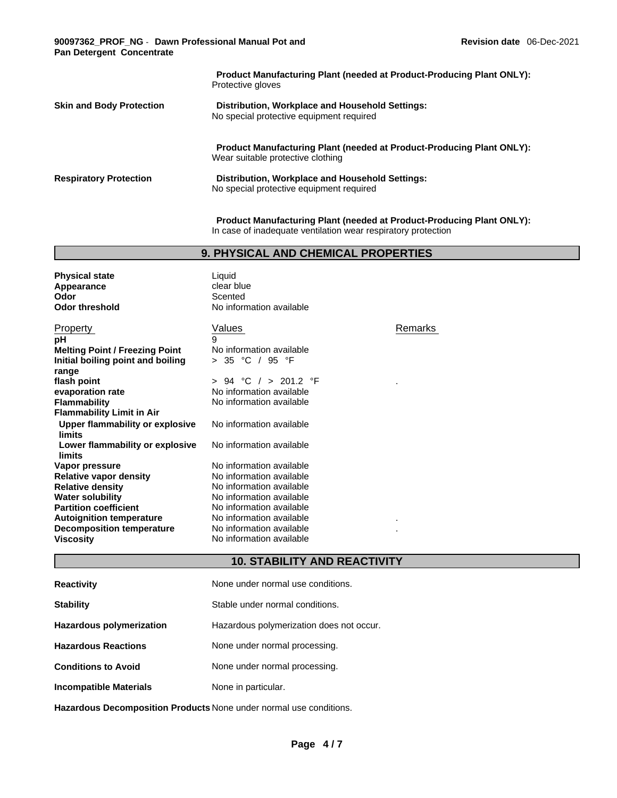#### **90097362\_PROF\_NG** - **Dawn ProfessionalManual Pot and Pan Detergent Concentrate**

**Product Manufacturing Plant (needed at Product-Producing Plant ONLY):** Protective gloves **Skin and Body Protection Distribution, Workplace and Household Settings:** No special protective equipment required **Product Manufacturing Plant (needed at Product-Producing Plant ONLY):** Wear suitable protective clothing **Respiratory Protection Distribution, Workplace and Household Settings:** No special protective equipment required

> **Product Manufacturing Plant (needed at Product-Producing Plant ONLY):** In case of inadequate ventilation wear respiratory protection

# **9. PHYSICAL AND CHEMICAL PROPERTIES**

| <b>Physical state</b><br>Appearance<br>Odor<br><b>Odor threshold</b> | Liquid<br>clear blue<br>Scented<br>No information available |         |
|----------------------------------------------------------------------|-------------------------------------------------------------|---------|
| Property                                                             | Values<br>9                                                 | Remarks |
| рH<br><b>Melting Point / Freezing Point</b>                          | No information available                                    |         |
| Initial boiling point and boiling                                    | > 35 °C / 95 °F                                             |         |
| range                                                                |                                                             |         |
| flash point                                                          | > 94 °C / > 201.2 °F                                        |         |
| evaporation rate                                                     | No information available                                    |         |
| Flammability                                                         | No information available                                    |         |
| <b>Flammability Limit in Air</b>                                     |                                                             |         |
| Upper flammability or explosive<br>limits                            | No information available                                    |         |
| Lower flammability or explosive<br>limits                            | No information available                                    |         |
| Vapor pressure                                                       | No information available                                    |         |
| <b>Relative vapor density</b>                                        | No information available                                    |         |
| <b>Relative density</b>                                              | No information available                                    |         |
| <b>Water solubility</b>                                              | No information available                                    |         |
| <b>Partition coefficient</b>                                         | No information available                                    |         |
| <b>Autoignition temperature</b>                                      | No information available                                    |         |
| <b>Decomposition temperature</b>                                     | No information available                                    |         |
| <b>Viscosity</b>                                                     | No information available                                    |         |

# **10. STABILITY AND REACTIVITY**

| <b>Reactivity</b>               | None under normal use conditions.        |
|---------------------------------|------------------------------------------|
| <b>Stability</b>                | Stable under normal conditions.          |
| <b>Hazardous polymerization</b> | Hazardous polymerization does not occur. |
| <b>Hazardous Reactions</b>      | None under normal processing.            |
| <b>Conditions to Avoid</b>      | None under normal processing.            |
| Incompatible Materials          | None in particular.                      |

**Hazardous Decomposition Products** None under normal use conditions.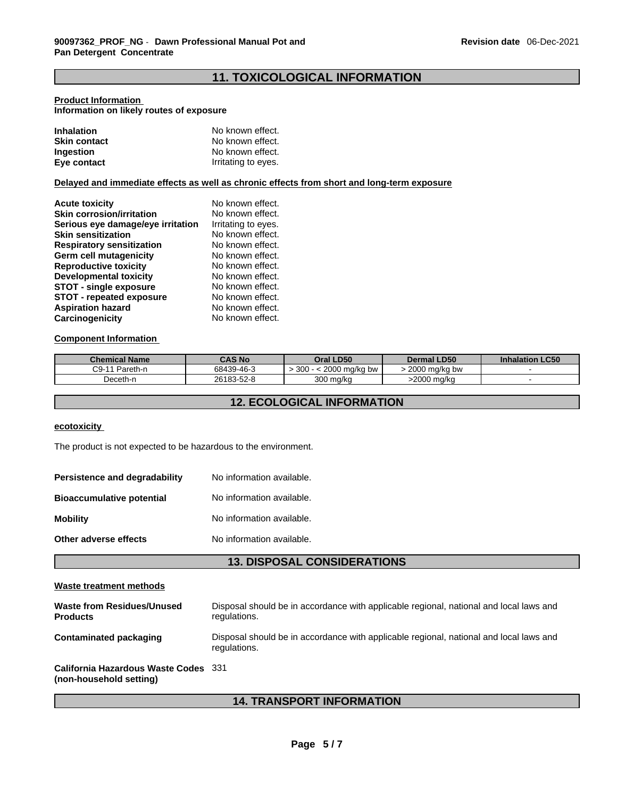# **11. TOXICOLOGICAL INFORMATION**

#### **Product Information Information on likely routes of exposure**

| <b>Inhalation</b>   | No known effect.    |
|---------------------|---------------------|
| <b>Skin contact</b> | No known effect.    |
| <b>Ingestion</b>    | No known effect.    |
| Eye contact         | Irritating to eyes. |

#### **Delayed and immediate effects as well as chronic effects from short and long-term exposure**

| <b>Acute toxicity</b>             | No known effect.    |
|-----------------------------------|---------------------|
| <b>Skin corrosion/irritation</b>  | No known effect.    |
| Serious eye damage/eye irritation | Irritating to eyes. |
| <b>Skin sensitization</b>         | No known effect.    |
| <b>Respiratory sensitization</b>  | No known effect.    |
| Germ cell mutagenicity            | No known effect.    |
| <b>Reproductive toxicity</b>      | No known effect.    |
| Developmental toxicity            | No known effect.    |
| <b>STOT - single exposure</b>     | No known effect.    |
| <b>STOT - repeated exposure</b>   | No known effect.    |
| <b>Aspiration hazard</b>          | No known effect.    |
| Carcinogenicity                   | No known effect.    |

#### **Component Information**

| <b>Chemical Name</b> | <b>CAS No</b> | Oral LD50                    | Dermal LD50   | <b>Inhalation LC50</b> |
|----------------------|---------------|------------------------------|---------------|------------------------|
| C9-11 Pareth-n       | 68439-46-3    | $300 - 5$<br>. 2000 ma/ka bw | 2000 ma/ka bw |                        |
| Deceth-n             | 26183-52-8    | 300 mg/kg                    | >2000 mg/kg   |                        |

# **12. ECOLOGICAL INFORMATION**

#### **ecotoxicity**

The product is not expected to be hazardous to the environment.

| Persistence and degradability    | No information available. |
|----------------------------------|---------------------------|
| <b>Bioaccumulative potential</b> | No information available. |
| <b>Mobility</b>                  | No information available. |
| Other adverse effects            | No information available. |

# **13. DISPOSAL CONSIDERATIONS**

#### **Waste treatment methods**

| Waste from Residues/Unused<br><b>Products</b>                          | Disposal should be in accordance with applicable regional, national and local laws and<br>regulations. |
|------------------------------------------------------------------------|--------------------------------------------------------------------------------------------------------|
| <b>Contaminated packaging</b>                                          | Disposal should be in accordance with applicable regional, national and local laws and<br>regulations. |
| <b>California Hazardous Waste Codes</b> 331<br>(non-household setting) |                                                                                                        |

### **14. TRANSPORT INFORMATION**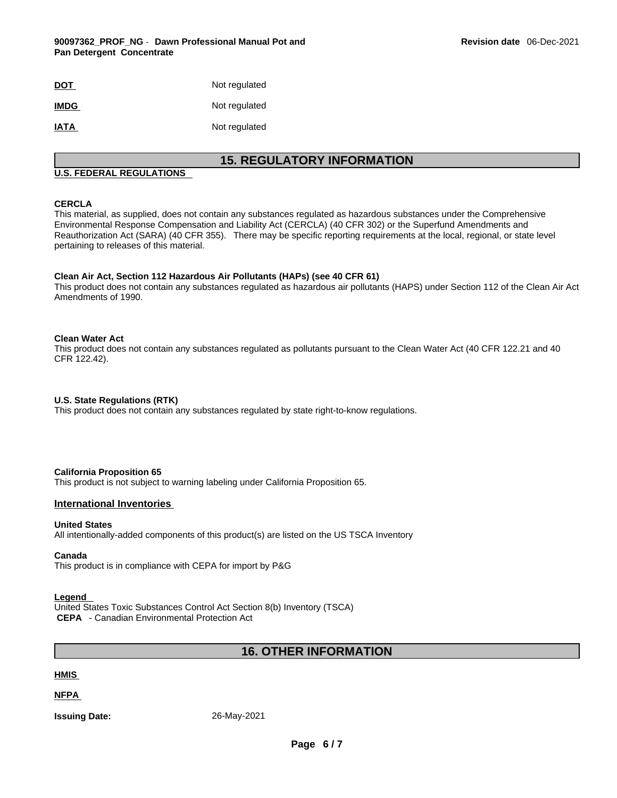| <b>DOT</b>  | Not regulated |
|-------------|---------------|
| <b>IMDG</b> | Not regulated |
| <b>IATA</b> | Not regulated |

# **15. REGULATORY INFORMATION**

#### **U.S. FEDERAL REGULATIONS**

#### **CERCLA**

This material, as supplied, does not contain any substances regulated as hazardous substances under the Comprehensive Environmental Response Compensation and Liability Act (CERCLA) (40 CFR 302) or the Superfund Amendments and Reauthorization Act (SARA) (40 CFR 355). There may be specific reporting requirements at the local, regional, or state level pertaining to releases of this material.

#### **Clean Air Act,Section 112 Hazardous Air Pollutants (HAPs) (see 40 CFR 61)**

This product does not contain any substances regulated as hazardous air pollutants (HAPS) under Section 112 of the Clean Air Act Amendments of 1990.

#### **Clean Water Act**

This product does not contain any substances regulated as pollutants pursuant to the Clean Water Act (40 CFR 122.21 and 40 CFR 122.42).

#### **U.S. State Regulations (RTK)**

This product does not contain any substances regulated by state right-to-know regulations.

#### **California Proposition 65**

This product is not subject to warning labeling under California Proposition 65.

#### **International Inventories**

#### **United States**

All intentionally-added components of this product(s) are listed on the US TSCA Inventory

#### **Canada**

This product is in compliance with CEPA for import by P&G

#### **Legend**

United States Toxic Substances Control Act Section 8(b) Inventory (TSCA)  **CEPA** - Canadian Environmental Protection Act

# **16. OTHER INFORMATION**

#### **HMIS**

**NFPA** 

**Issuing Date:** 26-May-2021